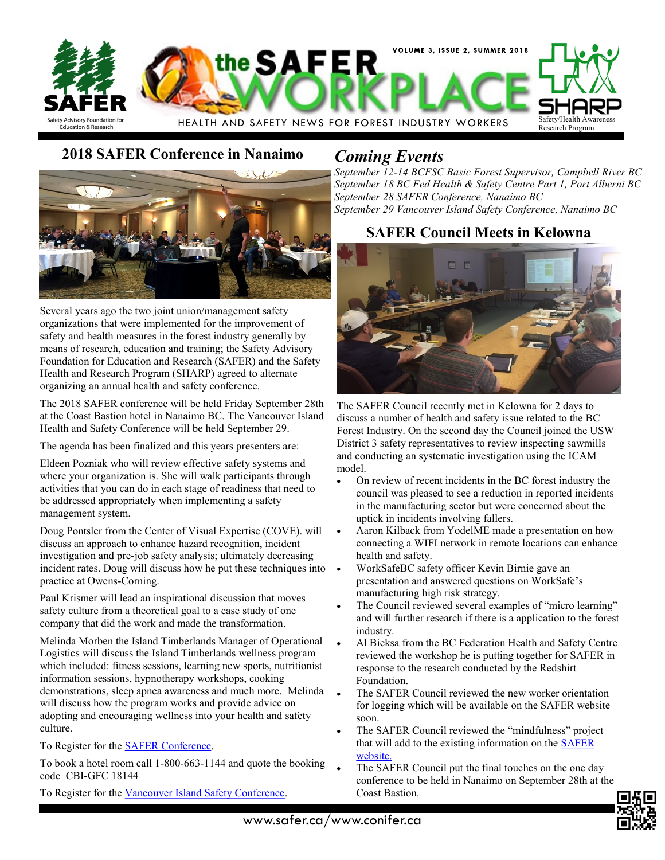

# **2018 SAFER Conference in Nanaimo** *Coming Events*



Several years ago the two joint union/management safety organizations that were implemented for the improvement of safety and health measures in the forest industry generally by means of research, education and training; the Safety Advisory Foundation for Education and Research (SAFER) and the Safety Health and Research Program (SHARP) agreed to alternate organizing an annual health and safety conference.

The 2018 SAFER conference will be held Friday September 28th at the Coast Bastion hotel in Nanaimo BC. The Vancouver Island Health and Safety Conference will be held September 29.

The agenda has been finalized and this years presenters are:

Eldeen Pozniak who will review effective safety systems and where your organization is. She will walk participants through activities that you can do in each stage of readiness that need to be addressed appropriately when implementing a safety management system.

Doug Pontsler from the Center of Visual Expertise (COVE). will discuss an approach to enhance hazard recognition, incident investigation and pre-job safety analysis; ultimately decreasing incident rates. Doug will discuss how he put these techniques into practice at Owens-Corning.

Paul Krismer will lead an inspirational discussion that moves safety culture from a theoretical goal to a case study of one company that did the work and made the transformation.

Melinda Morben the Island Timberlands Manager of Operational Logistics will discuss the Island Timberlands wellness program which included: fitness sessions, learning new sports, nutritionist information sessions, hypnotherapy workshops, cooking demonstrations, sleep apnea awareness and much more. Melinda will discuss how the program works and provide advice on adopting and encouraging wellness into your health and safety culture.

To Register for the [SAFER Conference.](http://www.safer.ca/safer_conference.htm)

To book a hotel room call 1-800-663-1144 and quote the booking code CBI-GFC 18144

To Register for the [Vancouver Island Safety Conference.](http://www.bcforestsafe.org/VISC)

*September 12-14 BCFSC Basic Forest Supervisor, Campbell River BC September 18 BC Fed Health & Safety Centre Part 1, Port Alberni BC September 28 SAFER Conference, Nanaimo BC September 29 Vancouver Island Safety Conference, Nanaimo BC*

## **SAFER Council Meets in Kelowna**



The SAFER Council recently met in Kelowna for 2 days to discuss a number of health and safety issue related to the BC Forest Industry. On the second day the Council joined the USW District 3 safety representatives to review inspecting sawmills and conducting an systematic investigation using the ICAM model.

- On review of recent incidents in the BC forest industry the council was pleased to see a reduction in reported incidents in the manufacturing sector but were concerned about the uptick in incidents involving fallers.
- Aaron Kilback from YodelME made a presentation on how connecting a WIFI network in remote locations can enhance health and safety.
- WorkSafeBC safety officer Kevin Birnie gave an presentation and answered questions on WorkSafe's manufacturing high risk strategy.
- The Council reviewed several examples of "micro learning" and will further research if there is a application to the forest industry.
- Al Bieksa from the BC Federation Health and Safety Centre reviewed the workshop he is putting together for SAFER in response to the research conducted by the Redshirt Foundation.
- The SAFER Council reviewed the new worker orientation for logging which will be available on the SAFER website soon.
- The SAFER Council reviewed the "mindfulness" project that will add to the existing information on the [SAFER](http://www.safer.ca/mindfulness.htm)  [website.](http://www.safer.ca/mindfulness.htm)
- The SAFER Council put the final touches on the one day conference to be held in Nanaimo on September 28th at the Coast Bastion.